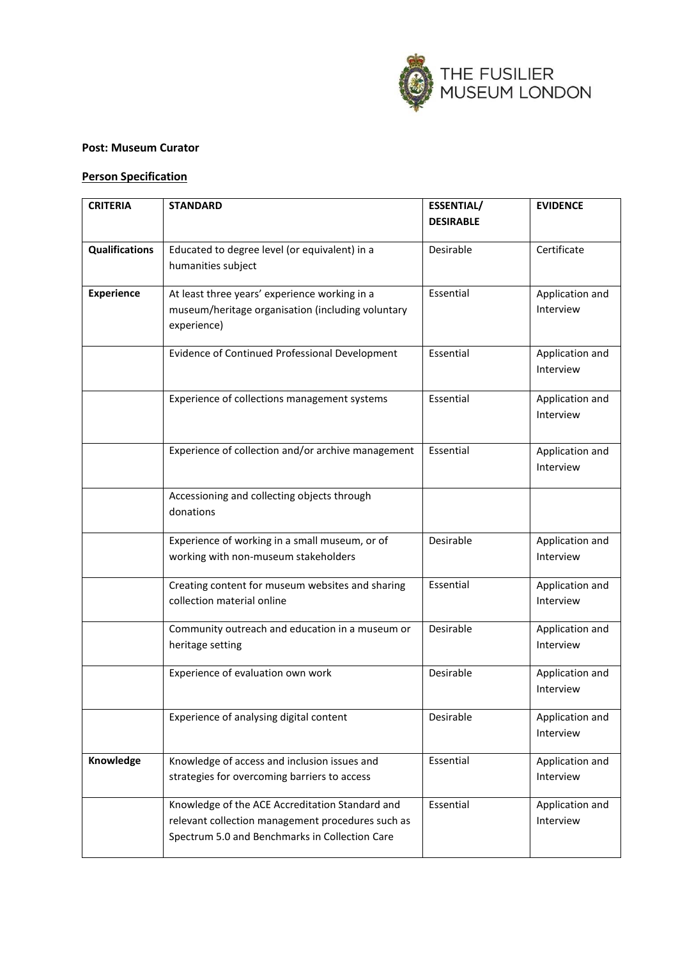

## **Post: Museum Curator**

## **Person Specification**

| <b>CRITERIA</b>       | <b>STANDARD</b>                                                                                                                                        | <b>ESSENTIAL/</b> | <b>EVIDENCE</b>              |
|-----------------------|--------------------------------------------------------------------------------------------------------------------------------------------------------|-------------------|------------------------------|
|                       |                                                                                                                                                        | <b>DESIRABLE</b>  |                              |
| <b>Qualifications</b> | Educated to degree level (or equivalent) in a<br>humanities subject                                                                                    | Desirable         | Certificate                  |
| <b>Experience</b>     | At least three years' experience working in a<br>museum/heritage organisation (including voluntary<br>experience)                                      | Essential         | Application and<br>Interview |
|                       | Evidence of Continued Professional Development                                                                                                         | Essential         | Application and<br>Interview |
|                       | Experience of collections management systems                                                                                                           | Essential         | Application and<br>Interview |
|                       | Experience of collection and/or archive management                                                                                                     | Essential         | Application and<br>Interview |
|                       | Accessioning and collecting objects through<br>donations                                                                                               |                   |                              |
|                       | Experience of working in a small museum, or of<br>working with non-museum stakeholders                                                                 | Desirable         | Application and<br>Interview |
|                       | Creating content for museum websites and sharing<br>collection material online                                                                         | Essential         | Application and<br>Interview |
|                       | Community outreach and education in a museum or<br>heritage setting                                                                                    | Desirable         | Application and<br>Interview |
|                       | Experience of evaluation own work                                                                                                                      | Desirable         | Application and<br>Interview |
|                       | Experience of analysing digital content                                                                                                                | Desirable         | Application and<br>Interview |
| Knowledge             | Knowledge of access and inclusion issues and<br>strategies for overcoming barriers to access                                                           | Essential         | Application and<br>Interview |
|                       | Knowledge of the ACE Accreditation Standard and<br>relevant collection management procedures such as<br>Spectrum 5.0 and Benchmarks in Collection Care | Essential         | Application and<br>Interview |